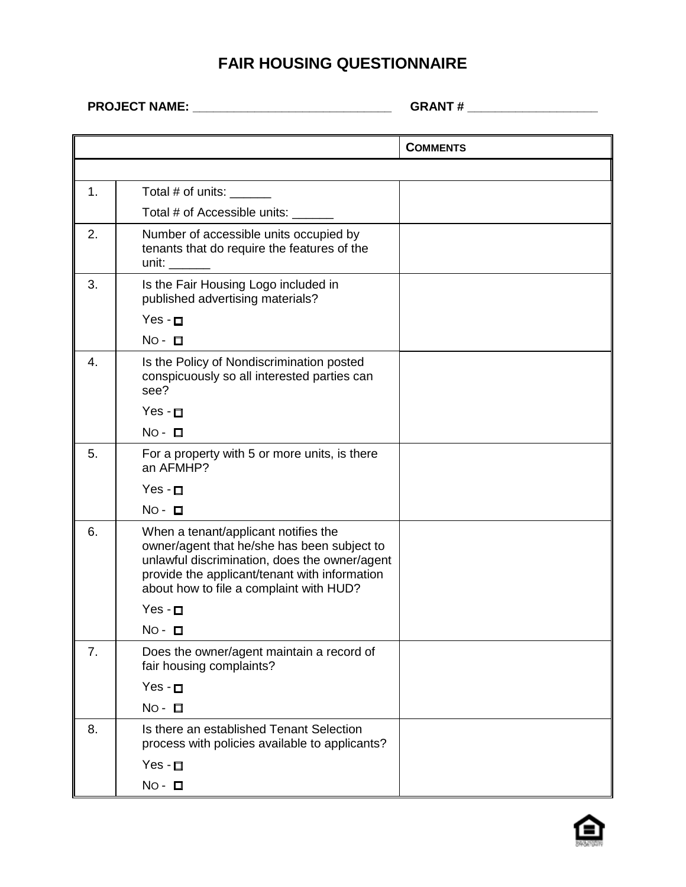## **FAIR HOUSING QUESTIONNAIRE**

**PROJECT NAME: \_\_\_\_\_\_\_\_\_\_\_\_\_\_\_\_\_\_\_\_\_\_\_\_\_\_\_\_\_ GRANT # \_\_\_\_\_\_\_\_\_\_\_\_\_\_\_\_\_\_\_**

|    |                                                                                                                                                                                                                                                                                                                         | <b>COMMENTS</b> |
|----|-------------------------------------------------------------------------------------------------------------------------------------------------------------------------------------------------------------------------------------------------------------------------------------------------------------------------|-----------------|
|    |                                                                                                                                                                                                                                                                                                                         |                 |
| 1. | Total # of units:                                                                                                                                                                                                                                                                                                       |                 |
|    | Total # of Accessible units:                                                                                                                                                                                                                                                                                            |                 |
| 2. | Number of accessible units occupied by<br>tenants that do require the features of the<br>unit: when the control of the control of the control of the control of the control of the control of the control of the control of the control of the control of the control of the control of the control of the control of t |                 |
| 3. | Is the Fair Housing Logo included in<br>published advertising materials?                                                                                                                                                                                                                                                |                 |
|    | $Yes - □$                                                                                                                                                                                                                                                                                                               |                 |
|    | $No - \Box$                                                                                                                                                                                                                                                                                                             |                 |
| 4. | Is the Policy of Nondiscrimination posted<br>conspicuously so all interested parties can<br>see?                                                                                                                                                                                                                        |                 |
|    | $Yes - □$                                                                                                                                                                                                                                                                                                               |                 |
|    | $No - □$                                                                                                                                                                                                                                                                                                                |                 |
| 5. | For a property with 5 or more units, is there<br>an AFMHP?                                                                                                                                                                                                                                                              |                 |
|    | $Yes - □$                                                                                                                                                                                                                                                                                                               |                 |
|    | $No - □$                                                                                                                                                                                                                                                                                                                |                 |
| 6. | When a tenant/applicant notifies the<br>owner/agent that he/she has been subject to<br>unlawful discrimination, does the owner/agent<br>provide the applicant/tenant with information<br>about how to file a complaint with HUD?                                                                                        |                 |
|    | $Yes - □$                                                                                                                                                                                                                                                                                                               |                 |
|    | No - o                                                                                                                                                                                                                                                                                                                  |                 |
| 7. | Does the owner/agent maintain a record of<br>fair housing complaints?                                                                                                                                                                                                                                                   |                 |
|    | $Yes - □$                                                                                                                                                                                                                                                                                                               |                 |
|    | $No - \Box$                                                                                                                                                                                                                                                                                                             |                 |
| 8. | Is there an established Tenant Selection<br>process with policies available to applicants?                                                                                                                                                                                                                              |                 |
|    | Yes - <b>□</b>                                                                                                                                                                                                                                                                                                          |                 |
|    | $No - \Box$                                                                                                                                                                                                                                                                                                             |                 |